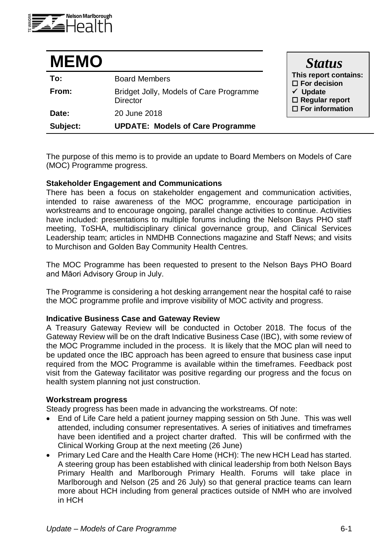

| <b>MEMO</b> |                                                            | <b>Status</b>                                                                                                             |
|-------------|------------------------------------------------------------|---------------------------------------------------------------------------------------------------------------------------|
| To:         | <b>Board Members</b>                                       | This report contains:<br>$\square$ For decision<br>$\checkmark$ Update<br>$\Box$ Regular report<br>$\Box$ For information |
| From:       | Bridget Jolly, Models of Care Programme<br><b>Director</b> |                                                                                                                           |
| Date:       | 20 June 2018                                               |                                                                                                                           |
| Subject:    | <b>UPDATE: Models of Care Programme</b>                    |                                                                                                                           |

The purpose of this memo is to provide an update to Board Members on Models of Care (MOC) Programme progress.

# **Stakeholder Engagement and Communications**

There has been a focus on stakeholder engagement and communication activities, intended to raise awareness of the MOC programme, encourage participation in workstreams and to encourage ongoing, parallel change activities to continue. Activities have included: presentations to multiple forums including the Nelson Bays PHO staff meeting, ToSHA, multidisciplinary clinical governance group, and Clinical Services Leadership team; articles in NMDHB Connections magazine and Staff News; and visits to Murchison and Golden Bay Community Health Centres.

The MOC Programme has been requested to present to the Nelson Bays PHO Board and Māori Advisory Group in July.

The Programme is considering a hot desking arrangement near the hospital café to raise the MOC programme profile and improve visibility of MOC activity and progress.

### **Indicative Business Case and Gateway Review**

A Treasury Gateway Review will be conducted in October 2018. The focus of the Gateway Review will be on the draft Indicative Business Case (IBC), with some review of the MOC Programme included in the process. It is likely that the MOC plan will need to be updated once the IBC approach has been agreed to ensure that business case input required from the MOC Programme is available within the timeframes. Feedback post visit from the Gateway facilitator was positive regarding our progress and the focus on health system planning not just construction.

### **Workstream progress**

Steady progress has been made in advancing the workstreams. Of note:

- End of Life Care held a patient journey mapping session on 5th June. This was well attended, including consumer representatives. A series of initiatives and timeframes have been identified and a project charter drafted. This will be confirmed with the Clinical Working Group at the next meeting (26 June)
- Primary Led Care and the Health Care Home (HCH): The new HCH Lead has started. A steering group has been established with clinical leadership from both Nelson Bays Primary Health and Marlborough Primary Health. Forums will take place in Marlborough and Nelson (25 and 26 July) so that general practice teams can learn more about HCH including from general practices outside of NMH who are involved in HCH